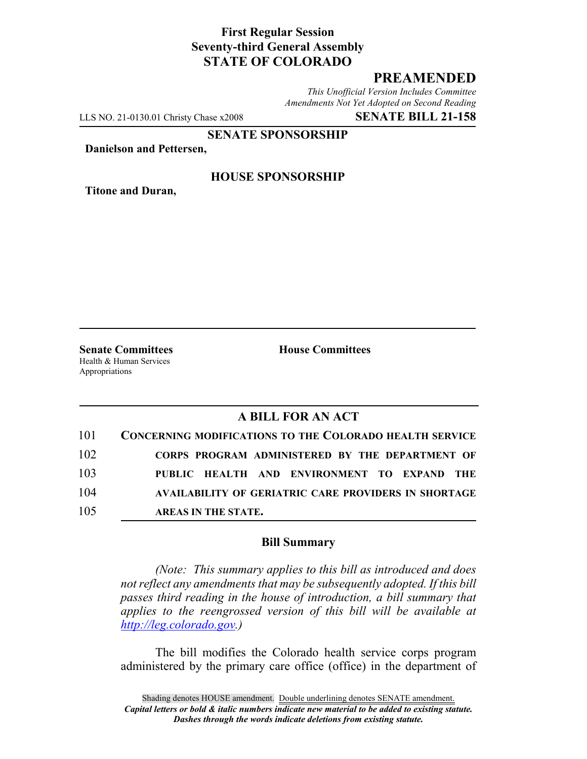# **First Regular Session Seventy-third General Assembly STATE OF COLORADO**

# **PREAMENDED**

*This Unofficial Version Includes Committee Amendments Not Yet Adopted on Second Reading*

LLS NO. 21-0130.01 Christy Chase x2008 **SENATE BILL 21-158**

**SENATE SPONSORSHIP**

**Danielson and Pettersen,**

**Titone and Duran,**

#### **HOUSE SPONSORSHIP**

**Senate Committees House Committees** Health & Human Services Appropriations

# **A BILL FOR AN ACT**

| 101 | <b>CONCERNING MODIFICATIONS TO THE COLORADO HEALTH SERVICE</b> |
|-----|----------------------------------------------------------------|
| 102 | CORPS PROGRAM ADMINISTERED BY THE DEPARTMENT OF                |
| 103 | PUBLIC HEALTH AND ENVIRONMENT TO EXPAND THE                    |
| 104 | <b>AVAILABILITY OF GERIATRIC CARE PROVIDERS IN SHORTAGE</b>    |
| 105 | AREAS IN THE STATE.                                            |

### **Bill Summary**

*(Note: This summary applies to this bill as introduced and does not reflect any amendments that may be subsequently adopted. If this bill passes third reading in the house of introduction, a bill summary that applies to the reengrossed version of this bill will be available at http://leg.colorado.gov.)*

The bill modifies the Colorado health service corps program administered by the primary care office (office) in the department of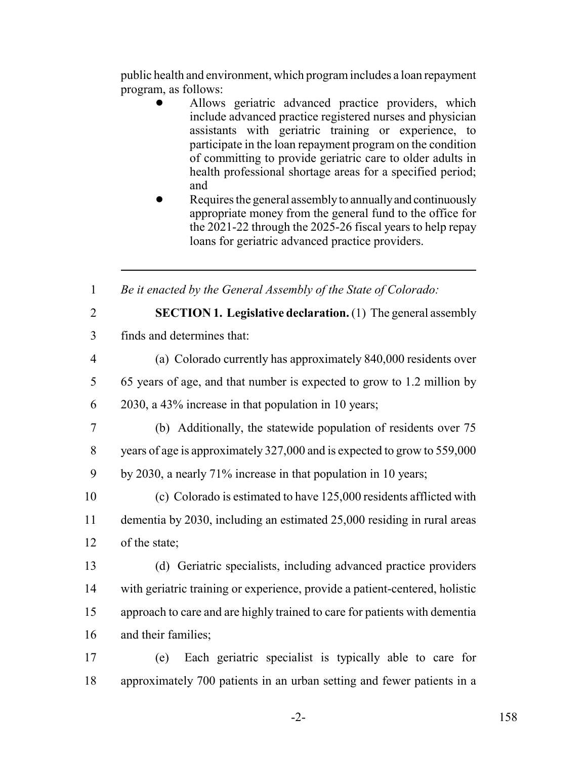public health and environment, which program includes a loan repayment program, as follows:

- ! Allows geriatric advanced practice providers, which include advanced practice registered nurses and physician assistants with geriatric training or experience, to participate in the loan repayment program on the condition of committing to provide geriatric care to older adults in health professional shortage areas for a specified period; and
- Requires the general assembly to annually and continuously appropriate money from the general fund to the office for the 2021-22 through the 2025-26 fiscal years to help repay loans for geriatric advanced practice providers.

1 *Be it enacted by the General Assembly of the State of Colorado:*

2 **SECTION 1. Legislative declaration.** (1) The general assembly

- 3 finds and determines that:
- 4 (a) Colorado currently has approximately 840,000 residents over 5 65 years of age, and that number is expected to grow to 1.2 million by
- 6 2030, a 43% increase in that population in 10 years;
- 7 (b) Additionally, the statewide population of residents over 75 8 years of age is approximately 327,000 and is expected to grow to 559,000
- 9 by 2030, a nearly 71% increase in that population in 10 years;
- 10 (c) Colorado is estimated to have 125,000 residents afflicted with 11 dementia by 2030, including an estimated 25,000 residing in rural areas 12 of the state;
- 13 (d) Geriatric specialists, including advanced practice providers 14 with geriatric training or experience, provide a patient-centered, holistic 15 approach to care and are highly trained to care for patients with dementia 16 and their families;
- 17 (e) Each geriatric specialist is typically able to care for 18 approximately 700 patients in an urban setting and fewer patients in a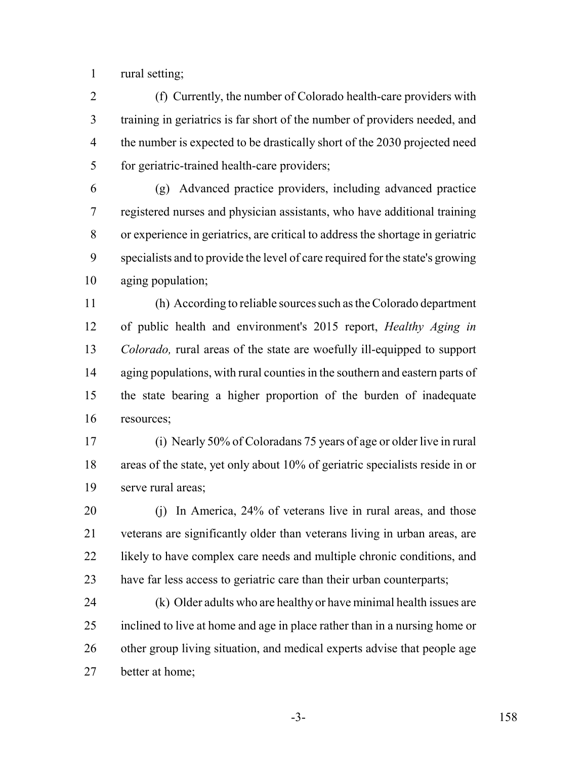rural setting;

 (f) Currently, the number of Colorado health-care providers with training in geriatrics is far short of the number of providers needed, and 4 the number is expected to be drastically short of the 2030 projected need for geriatric-trained health-care providers;

 (g) Advanced practice providers, including advanced practice registered nurses and physician assistants, who have additional training or experience in geriatrics, are critical to address the shortage in geriatric specialists and to provide the level of care required for the state's growing aging population;

 (h) According to reliable sources such as the Colorado department of public health and environment's 2015 report, *Healthy Aging in Colorado,* rural areas of the state are woefully ill-equipped to support 14 aging populations, with rural counties in the southern and eastern parts of the state bearing a higher proportion of the burden of inadequate resources;

 (i) Nearly 50% of Coloradans 75 years of age or older live in rural areas of the state, yet only about 10% of geriatric specialists reside in or serve rural areas;

 (j) In America, 24% of veterans live in rural areas, and those veterans are significantly older than veterans living in urban areas, are 22 likely to have complex care needs and multiple chronic conditions, and 23 have far less access to geriatric care than their urban counterparts;

 (k) Older adults who are healthy or have minimal health issues are inclined to live at home and age in place rather than in a nursing home or other group living situation, and medical experts advise that people age better at home;

-3- 158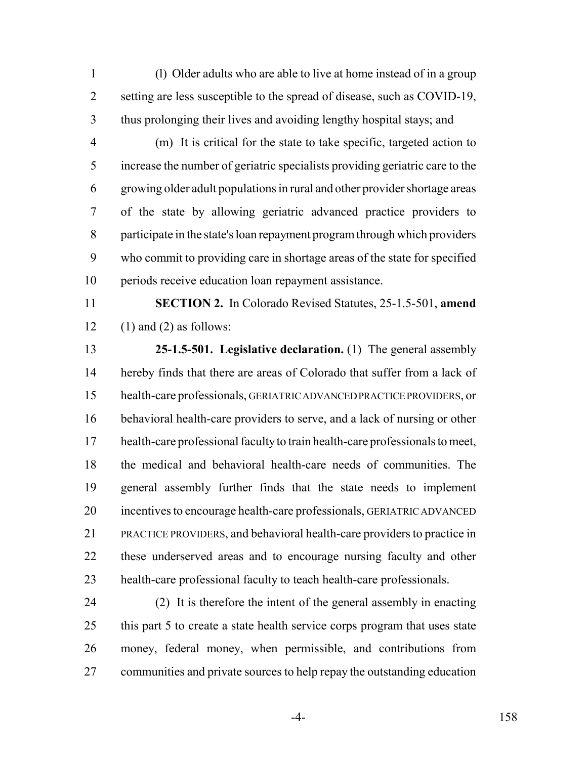(l) Older adults who are able to live at home instead of in a group setting are less susceptible to the spread of disease, such as COVID-19, thus prolonging their lives and avoiding lengthy hospital stays; and

 (m) It is critical for the state to take specific, targeted action to increase the number of geriatric specialists providing geriatric care to the growing older adult populations in rural and other provider shortage areas of the state by allowing geriatric advanced practice providers to participate in the state's loan repayment program through which providers who commit to providing care in shortage areas of the state for specified periods receive education loan repayment assistance.

 **SECTION 2.** In Colorado Revised Statutes, 25-1.5-501, **amend** 12 (1) and (2) as follows:

 **25-1.5-501. Legislative declaration.** (1) The general assembly hereby finds that there are areas of Colorado that suffer from a lack of health-care professionals, GERIATRIC ADVANCED PRACTICE PROVIDERS, or behavioral health-care providers to serve, and a lack of nursing or other health-care professional faculty to train health-care professionals to meet, the medical and behavioral health-care needs of communities. The general assembly further finds that the state needs to implement incentives to encourage health-care professionals, GERIATRIC ADVANCED PRACTICE PROVIDERS, and behavioral health-care providers to practice in these underserved areas and to encourage nursing faculty and other health-care professional faculty to teach health-care professionals.

 (2) It is therefore the intent of the general assembly in enacting 25 this part 5 to create a state health service corps program that uses state money, federal money, when permissible, and contributions from 27 communities and private sources to help repay the outstanding education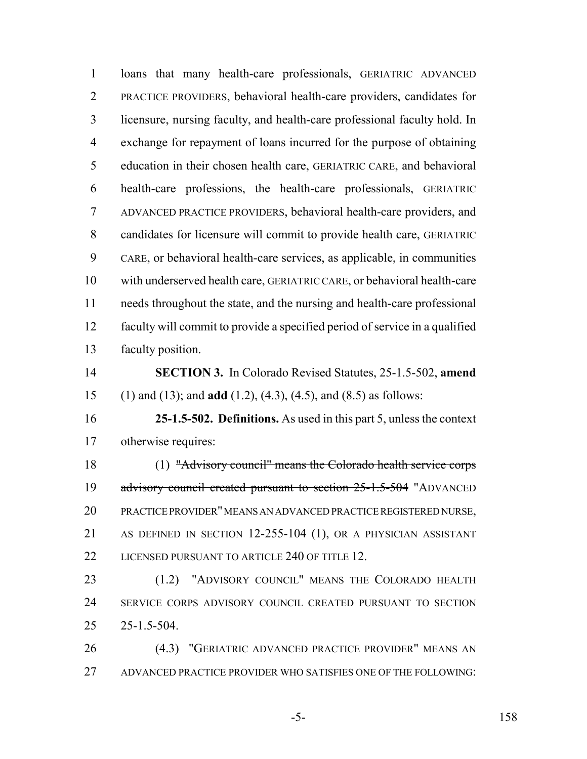loans that many health-care professionals, GERIATRIC ADVANCED PRACTICE PROVIDERS, behavioral health-care providers, candidates for licensure, nursing faculty, and health-care professional faculty hold. In exchange for repayment of loans incurred for the purpose of obtaining education in their chosen health care, GERIATRIC CARE, and behavioral health-care professions, the health-care professionals, GERIATRIC ADVANCED PRACTICE PROVIDERS, behavioral health-care providers, and candidates for licensure will commit to provide health care, GERIATRIC CARE, or behavioral health-care services, as applicable, in communities with underserved health care, GERIATRIC CARE, or behavioral health-care needs throughout the state, and the nursing and health-care professional faculty will commit to provide a specified period of service in a qualified faculty position. **SECTION 3.** In Colorado Revised Statutes, 25-1.5-502, **amend** (1) and (13); and **add** (1.2), (4.3), (4.5), and (8.5) as follows: **25-1.5-502. Definitions.** As used in this part 5, unless the context otherwise requires: (1) "Advisory council" means the Colorado health service corps 19 advisory council created pursuant to section 25-1.5-504 "ADVANCED PRACTICE PROVIDER" MEANS AN ADVANCED PRACTICE REGISTERED NURSE, AS DEFINED IN SECTION 12-255-104 (1), OR A PHYSICIAN ASSISTANT 22 LICENSED PURSUANT TO ARTICLE 240 OF TITLE 12. (1.2) "ADVISORY COUNCIL" MEANS THE COLORADO HEALTH SERVICE CORPS ADVISORY COUNCIL CREATED PURSUANT TO SECTION 25-1.5-504. (4.3) "GERIATRIC ADVANCED PRACTICE PROVIDER" MEANS AN ADVANCED PRACTICE PROVIDER WHO SATISFIES ONE OF THE FOLLOWING:

-5- 158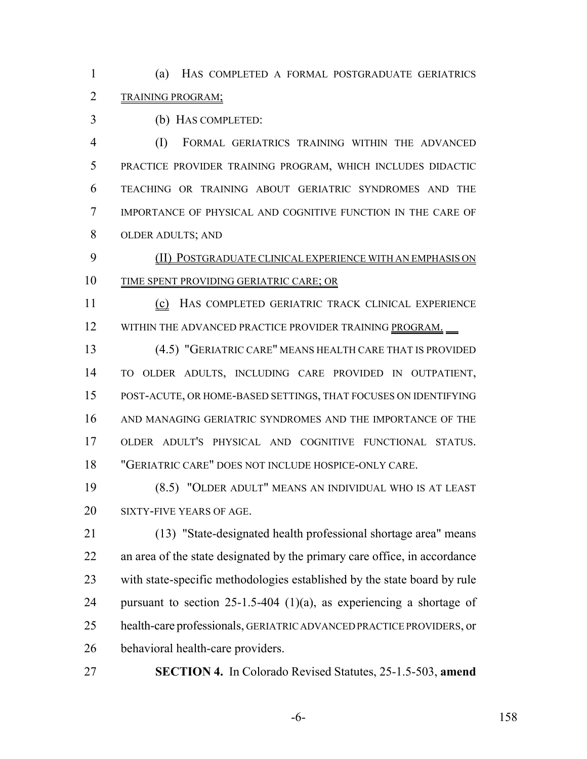(a) HAS COMPLETED A FORMAL POSTGRADUATE GERIATRICS TRAINING PROGRAM;

(b) HAS COMPLETED:

 (I) FORMAL GERIATRICS TRAINING WITHIN THE ADVANCED PRACTICE PROVIDER TRAINING PROGRAM, WHICH INCLUDES DIDACTIC TEACHING OR TRAINING ABOUT GERIATRIC SYNDROMES AND THE IMPORTANCE OF PHYSICAL AND COGNITIVE FUNCTION IN THE CARE OF OLDER ADULTS; AND

 (II) POSTGRADUATE CLINICAL EXPERIENCE WITH AN EMPHASIS ON TIME SPENT PROVIDING GERIATRIC CARE; OR

11 (c) HAS COMPLETED GERIATRIC TRACK CLINICAL EXPERIENCE 12 WITHIN THE ADVANCED PRACTICE PROVIDER TRAINING PROGRAM.

 (4.5) "GERIATRIC CARE" MEANS HEALTH CARE THAT IS PROVIDED TO OLDER ADULTS, INCLUDING CARE PROVIDED IN OUTPATIENT, POST-ACUTE, OR HOME-BASED SETTINGS, THAT FOCUSES ON IDENTIFYING AND MANAGING GERIATRIC SYNDROMES AND THE IMPORTANCE OF THE OLDER ADULT'S PHYSICAL AND COGNITIVE FUNCTIONAL STATUS. "GERIATRIC CARE" DOES NOT INCLUDE HOSPICE-ONLY CARE.

 (8.5) "OLDER ADULT" MEANS AN INDIVIDUAL WHO IS AT LEAST SIXTY-FIVE YEARS OF AGE.

 (13) "State-designated health professional shortage area" means an area of the state designated by the primary care office, in accordance with state-specific methodologies established by the state board by rule 24 pursuant to section -1.5-404 (1)(a), as experiencing a shortage of health-care professionals, GERIATRIC ADVANCED PRACTICE PROVIDERS, or behavioral health-care providers.

**SECTION 4.** In Colorado Revised Statutes, 25-1.5-503, **amend**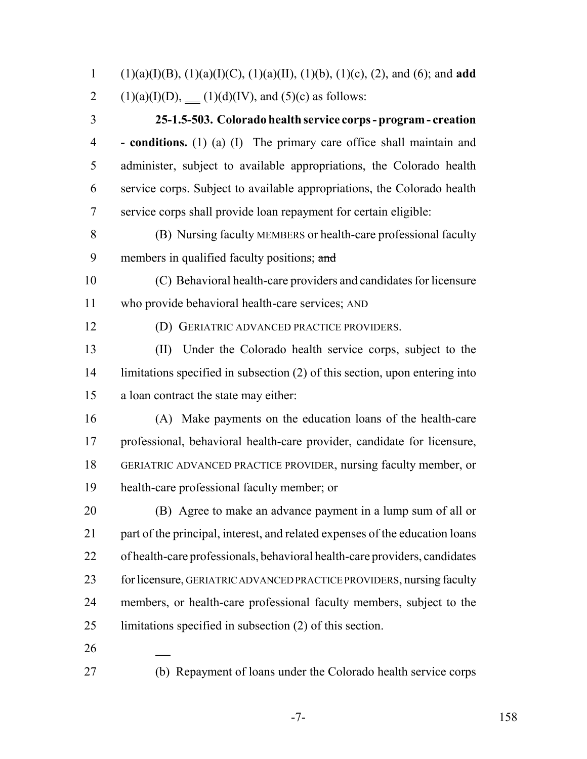(1)(a)(I)(B), (1)(a)(I)(C), (1)(a)(II), (1)(b), (1)(c), (2), and (6); and **add** 2 (1)(a)(I)(D), (1)(d)(IV), and (5)(c) as follows:

 **25-1.5-503. Colorado health service corps - program - creation - conditions.** (1) (a) (I) The primary care office shall maintain and administer, subject to available appropriations, the Colorado health service corps. Subject to available appropriations, the Colorado health service corps shall provide loan repayment for certain eligible:

- (B) Nursing faculty MEMBERS or health-care professional faculty 9 members in qualified faculty positions; and
- (C) Behavioral health-care providers and candidates for licensure who provide behavioral health-care services; AND
- 
- (D) GERIATRIC ADVANCED PRACTICE PROVIDERS.

 (II) Under the Colorado health service corps, subject to the limitations specified in subsection (2) of this section, upon entering into a loan contract the state may either:

 (A) Make payments on the education loans of the health-care professional, behavioral health-care provider, candidate for licensure, GERIATRIC ADVANCED PRACTICE PROVIDER, nursing faculty member, or health-care professional faculty member; or

 (B) Agree to make an advance payment in a lump sum of all or part of the principal, interest, and related expenses of the education loans of health-care professionals, behavioral health-care providers, candidates 23 for licensure, GERIATRIC ADVANCED PRACTICE PROVIDERS, nursing faculty members, or health-care professional faculty members, subject to the limitations specified in subsection (2) of this section.

- 
- 

(b) Repayment of loans under the Colorado health service corps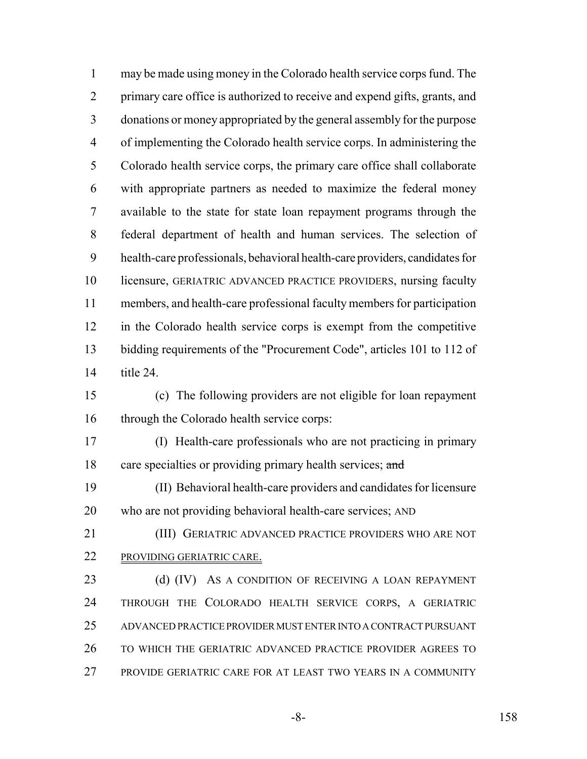may be made using money in the Colorado health service corps fund. The 2 primary care office is authorized to receive and expend gifts, grants, and donations or money appropriated by the general assembly for the purpose of implementing the Colorado health service corps. In administering the Colorado health service corps, the primary care office shall collaborate with appropriate partners as needed to maximize the federal money available to the state for state loan repayment programs through the federal department of health and human services. The selection of health-care professionals, behavioral health-care providers, candidates for licensure, GERIATRIC ADVANCED PRACTICE PROVIDERS, nursing faculty members, and health-care professional faculty members for participation in the Colorado health service corps is exempt from the competitive bidding requirements of the "Procurement Code", articles 101 to 112 of title 24. (c) The following providers are not eligible for loan repayment 16 through the Colorado health service corps: (I) Health-care professionals who are not practicing in primary 18 care specialties or providing primary health services; and (II) Behavioral health-care providers and candidates for licensure who are not providing behavioral health-care services; AND (III) GERIATRIC ADVANCED PRACTICE PROVIDERS WHO ARE NOT PROVIDING GERIATRIC CARE. 23 (d) (IV) AS A CONDITION OF RECEIVING A LOAN REPAYMENT THROUGH THE COLORADO HEALTH SERVICE CORPS, A GERIATRIC ADVANCED PRACTICE PROVIDER MUST ENTER INTO A CONTRACT PURSUANT TO WHICH THE GERIATRIC ADVANCED PRACTICE PROVIDER AGREES TO PROVIDE GERIATRIC CARE FOR AT LEAST TWO YEARS IN A COMMUNITY

-8- 158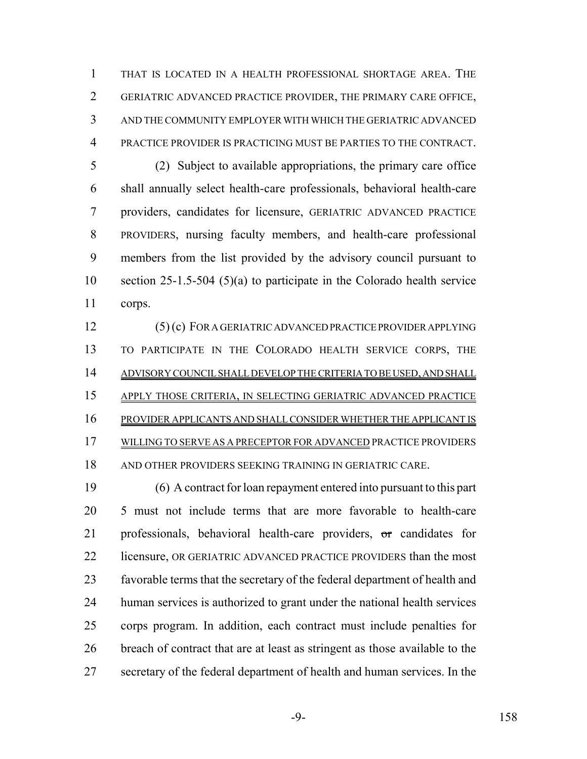THAT IS LOCATED IN A HEALTH PROFESSIONAL SHORTAGE AREA. THE GERIATRIC ADVANCED PRACTICE PROVIDER, THE PRIMARY CARE OFFICE, AND THE COMMUNITY EMPLOYER WITH WHICH THE GERIATRIC ADVANCED PRACTICE PROVIDER IS PRACTICING MUST BE PARTIES TO THE CONTRACT.

 (2) Subject to available appropriations, the primary care office shall annually select health-care professionals, behavioral health-care providers, candidates for licensure, GERIATRIC ADVANCED PRACTICE PROVIDERS, nursing faculty members, and health-care professional members from the list provided by the advisory council pursuant to section 25-1.5-504 (5)(a) to participate in the Colorado health service corps.

 (5) (c) FOR A GERIATRIC ADVANCED PRACTICE PROVIDER APPLYING TO PARTICIPATE IN THE COLORADO HEALTH SERVICE CORPS, THE ADVISORY COUNCIL SHALL DEVELOP THE CRITERIA TO BE USED, AND SHALL APPLY THOSE CRITERIA, IN SELECTING GERIATRIC ADVANCED PRACTICE PROVIDER APPLICANTS AND SHALL CONSIDER WHETHER THE APPLICANT IS WILLING TO SERVE AS A PRECEPTOR FOR ADVANCED PRACTICE PROVIDERS AND OTHER PROVIDERS SEEKING TRAINING IN GERIATRIC CARE.

 (6) A contract for loan repayment entered into pursuant to this part 5 must not include terms that are more favorable to health-care professionals, behavioral health-care providers, or candidates for 22 licensure, OR GERIATRIC ADVANCED PRACTICE PROVIDERS than the most favorable terms that the secretary of the federal department of health and human services is authorized to grant under the national health services corps program. In addition, each contract must include penalties for breach of contract that are at least as stringent as those available to the secretary of the federal department of health and human services. In the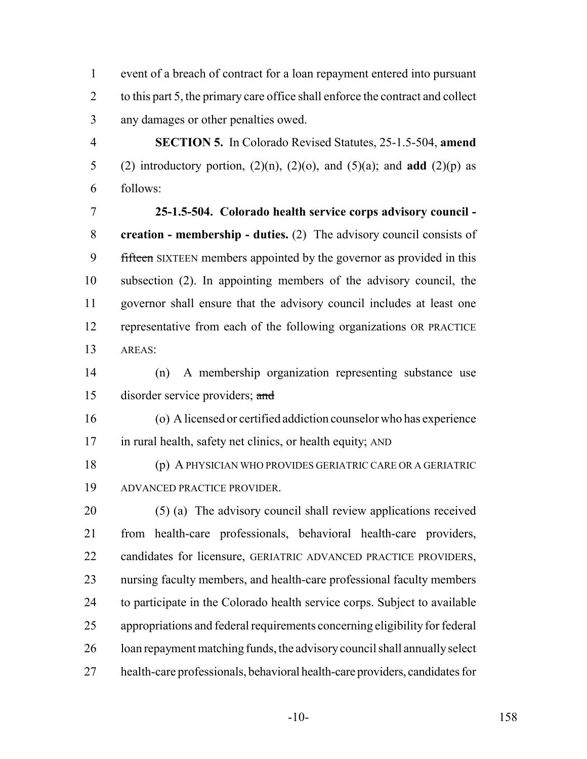event of a breach of contract for a loan repayment entered into pursuant 2 to this part 5, the primary care office shall enforce the contract and collect any damages or other penalties owed.

 **SECTION 5.** In Colorado Revised Statutes, 25-1.5-504, **amend** 5 (2) introductory portion,  $(2)(n)$ ,  $(2)(o)$ , and  $(5)(a)$ ; and **add**  $(2)(p)$  as follows:

 **25-1.5-504. Colorado health service corps advisory council - creation - membership - duties.** (2) The advisory council consists of 9 fifteen SIXTEEN members appointed by the governor as provided in this subsection (2). In appointing members of the advisory council, the governor shall ensure that the advisory council includes at least one representative from each of the following organizations OR PRACTICE AREAS:

 (n) A membership organization representing substance use 15 disorder service providers; and

 (o) A licensed or certified addiction counselor who has experience in rural health, safety net clinics, or health equity; AND

 (p) A PHYSICIAN WHO PROVIDES GERIATRIC CARE OR A GERIATRIC ADVANCED PRACTICE PROVIDER.

 (5) (a) The advisory council shall review applications received from health-care professionals, behavioral health-care providers, candidates for licensure, GERIATRIC ADVANCED PRACTICE PROVIDERS, nursing faculty members, and health-care professional faculty members to participate in the Colorado health service corps. Subject to available appropriations and federal requirements concerning eligibility for federal loan repayment matching funds, the advisory council shall annually select health-care professionals, behavioral health-care providers, candidates for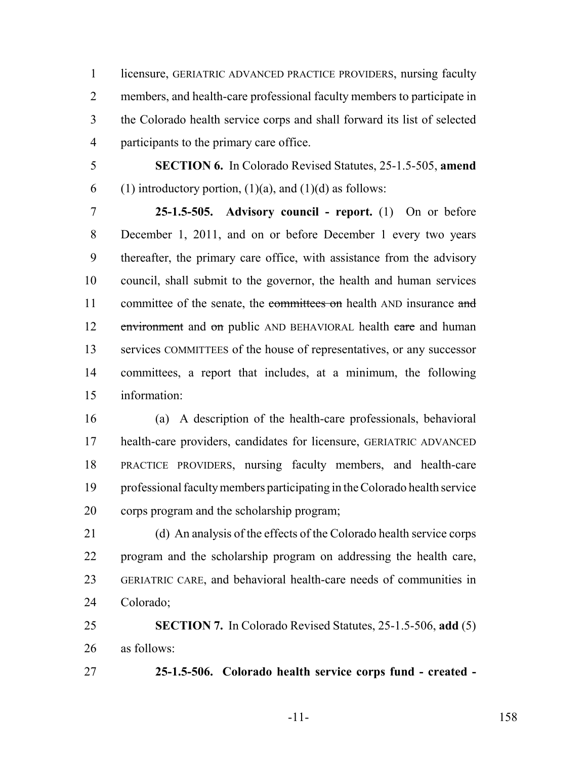licensure, GERIATRIC ADVANCED PRACTICE PROVIDERS, nursing faculty members, and health-care professional faculty members to participate in the Colorado health service corps and shall forward its list of selected participants to the primary care office.

 **SECTION 6.** In Colorado Revised Statutes, 25-1.5-505, **amend** 6 (1) introductory portion,  $(1)(a)$ , and  $(1)(d)$  as follows:

 **25-1.5-505. Advisory council - report.** (1) On or before December 1, 2011, and on or before December 1 every two years thereafter, the primary care office, with assistance from the advisory council, shall submit to the governor, the health and human services 11 committee of the senate, the committees on health AND insurance and 12 environment and on public AND BEHAVIORAL health care and human services COMMITTEES of the house of representatives, or any successor committees, a report that includes, at a minimum, the following information:

 (a) A description of the health-care professionals, behavioral health-care providers, candidates for licensure, GERIATRIC ADVANCED PRACTICE PROVIDERS, nursing faculty members, and health-care professional faculty members participating in the Colorado health service corps program and the scholarship program;

 (d) An analysis of the effects of the Colorado health service corps program and the scholarship program on addressing the health care, GERIATRIC CARE, and behavioral health-care needs of communities in Colorado;

 **SECTION 7.** In Colorado Revised Statutes, 25-1.5-506, **add** (5) as follows:

**25-1.5-506. Colorado health service corps fund - created -**

-11- 158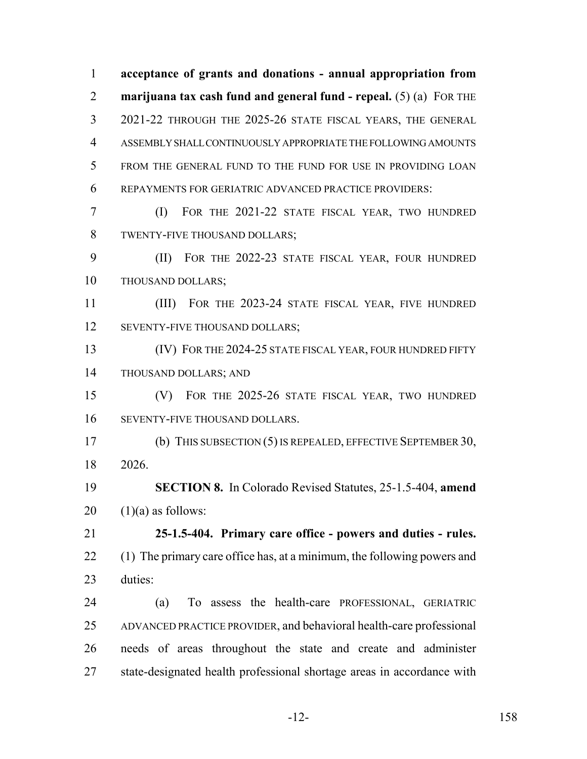**acceptance of grants and donations - annual appropriation from marijuana tax cash fund and general fund - repeal.** (5) (a) FOR THE 2021-22 THROUGH THE 2025-26 STATE FISCAL YEARS, THE GENERAL ASSEMBLY SHALL CONTINUOUSLY APPROPRIATE THE FOLLOWING AMOUNTS FROM THE GENERAL FUND TO THE FUND FOR USE IN PROVIDING LOAN REPAYMENTS FOR GERIATRIC ADVANCED PRACTICE PROVIDERS: (I) FOR THE 2021-22 STATE FISCAL YEAR, TWO HUNDRED TWENTY-FIVE THOUSAND DOLLARS; (II) FOR THE 2022-23 STATE FISCAL YEAR, FOUR HUNDRED THOUSAND DOLLARS; (III) FOR THE 2023-24 STATE FISCAL YEAR, FIVE HUNDRED 12 SEVENTY-FIVE THOUSAND DOLLARS; 13 (IV) FOR THE 2024-25 STATE FISCAL YEAR, FOUR HUNDRED FIFTY THOUSAND DOLLARS; AND (V) FOR THE 2025-26 STATE FISCAL YEAR, TWO HUNDRED SEVENTY-FIVE THOUSAND DOLLARS. (b) THIS SUBSECTION (5) IS REPEALED, EFFECTIVE SEPTEMBER 30, 2026. **SECTION 8.** In Colorado Revised Statutes, 25-1.5-404, **amend**  $20 \quad (1)(a)$  as follows: **25-1.5-404. Primary care office - powers and duties - rules.** 22 (1) The primary care office has, at a minimum, the following powers and duties: (a) To assess the health-care PROFESSIONAL, GERIATRIC ADVANCED PRACTICE PROVIDER, and behavioral health-care professional needs of areas throughout the state and create and administer state-designated health professional shortage areas in accordance with